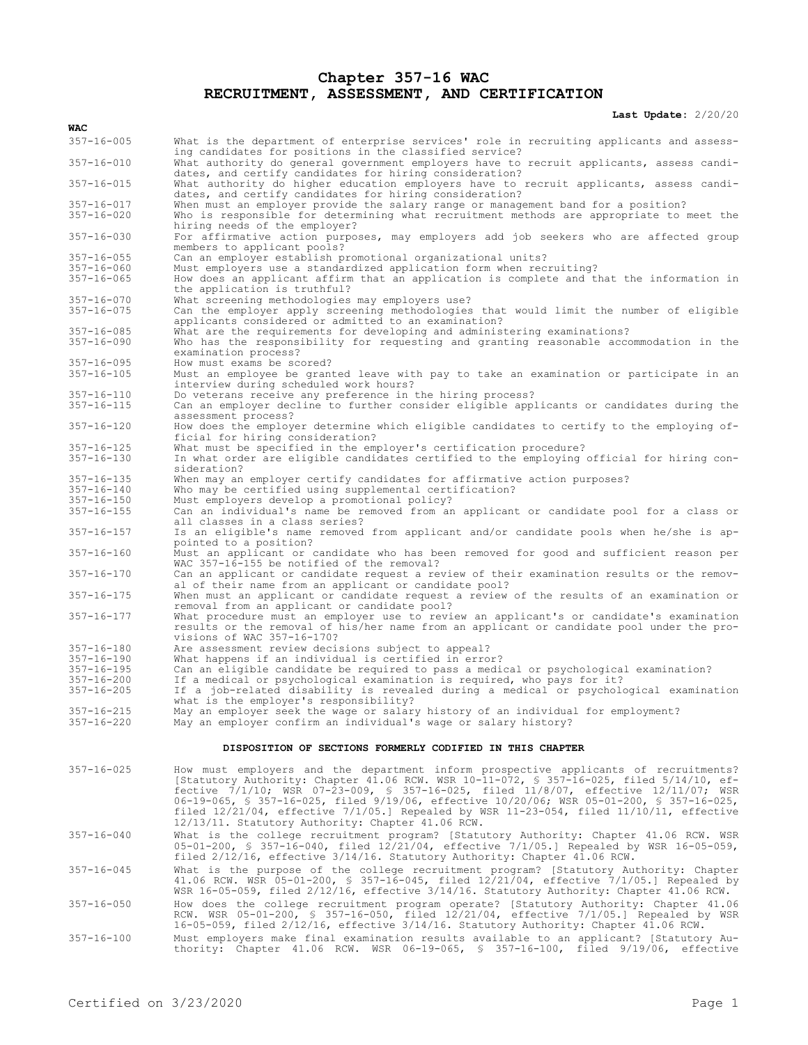## **Chapter 357-16 WAC RECRUITMENT, ASSESSMENT, AND CERTIFICATION**

**Last Update:** 2/20/20

| WAC                                  |                                                                                                                                                                                                                                                                                                                                                                                                                                                                                                                                |
|--------------------------------------|--------------------------------------------------------------------------------------------------------------------------------------------------------------------------------------------------------------------------------------------------------------------------------------------------------------------------------------------------------------------------------------------------------------------------------------------------------------------------------------------------------------------------------|
| $357 - 16 - 005$                     | What is the department of enterprise services' role in recruiting applicants and assess-                                                                                                                                                                                                                                                                                                                                                                                                                                       |
| $357 - 16 - 010$                     | ing candidates for positions in the classified service?<br>What authority do general government employers have to recruit applicants, assess candi-                                                                                                                                                                                                                                                                                                                                                                            |
| $357 - 16 - 015$                     | dates, and certify candidates for hiring consideration?<br>What authority do higher education employers have to recruit applicants, assess candi-                                                                                                                                                                                                                                                                                                                                                                              |
|                                      | dates, and certify candidates for hiring consideration?                                                                                                                                                                                                                                                                                                                                                                                                                                                                        |
| $357 - 16 - 017$<br>$357 - 16 - 020$ | When must an employer provide the salary range or management band for a position?<br>Who is responsible for determining what recruitment methods are appropriate to meet the                                                                                                                                                                                                                                                                                                                                                   |
| $357 - 16 - 030$                     | hiring needs of the employer?<br>For affirmative action purposes, may employers add job seekers who are affected group                                                                                                                                                                                                                                                                                                                                                                                                         |
| $357 - 16 - 055$                     | members to applicant pools?<br>Can an employer establish promotional organizational units?                                                                                                                                                                                                                                                                                                                                                                                                                                     |
| $357 - 16 - 060$                     | Must employers use a standardized application form when recruiting?                                                                                                                                                                                                                                                                                                                                                                                                                                                            |
| $357 - 16 - 065$                     | How does an applicant affirm that an application is complete and that the information in<br>the application is truthful?                                                                                                                                                                                                                                                                                                                                                                                                       |
| $357 - 16 - 070$                     | What screening methodologies may employers use?                                                                                                                                                                                                                                                                                                                                                                                                                                                                                |
| $357 - 16 - 075$                     | Can the employer apply screening methodologies that would limit the number of eligible<br>applicants considered or admitted to an examination?                                                                                                                                                                                                                                                                                                                                                                                 |
| $357 - 16 - 085$<br>$357 - 16 - 090$ | What are the requirements for developing and administering examinations?<br>Who has the responsibility for requesting and granting reasonable accommodation in the<br>examination process?                                                                                                                                                                                                                                                                                                                                     |
| $357 - 16 - 095$                     | How must exams be scored?                                                                                                                                                                                                                                                                                                                                                                                                                                                                                                      |
| $357 - 16 - 105$                     | Must an employee be granted leave with pay to take an examination or participate in an<br>interview during scheduled work hours?                                                                                                                                                                                                                                                                                                                                                                                               |
| $357 - 16 - 110$                     | Do veterans receive any preference in the hiring process?                                                                                                                                                                                                                                                                                                                                                                                                                                                                      |
| $357 - 16 - 115$                     | Can an employer decline to further consider eligible applicants or candidates during the<br>assessment process?                                                                                                                                                                                                                                                                                                                                                                                                                |
| $357 - 16 - 120$                     | How does the employer determine which eligible candidates to certify to the employing of-<br>ficial for hiring consideration?                                                                                                                                                                                                                                                                                                                                                                                                  |
| 357-16-125                           | What must be specified in the employer's certification procedure?                                                                                                                                                                                                                                                                                                                                                                                                                                                              |
| $357 - 16 - 130$                     | In what order are eligible candidates certified to the employing official for hiring con-<br>sideration?                                                                                                                                                                                                                                                                                                                                                                                                                       |
| 357-16-135                           | When may an employer certify candidates for affirmative action purposes?                                                                                                                                                                                                                                                                                                                                                                                                                                                       |
| $357 - 16 - 140$                     | Who may be certified using supplemental certification?                                                                                                                                                                                                                                                                                                                                                                                                                                                                         |
| $357 - 16 - 150$                     | Must employers develop a promotional policy?                                                                                                                                                                                                                                                                                                                                                                                                                                                                                   |
| $357 - 16 - 155$                     | Can an individual's name be removed from an applicant or candidate pool for a class or<br>all classes in a class series?                                                                                                                                                                                                                                                                                                                                                                                                       |
| $357 - 16 - 157$                     | Is an eligible's name removed from applicant and/or candidate pools when he/she is ap-<br>pointed to a position?                                                                                                                                                                                                                                                                                                                                                                                                               |
| $357 - 16 - 160$                     | Must an applicant or candidate who has been removed for good and sufficient reason per<br>WAC 357-16-155 be notified of the removal?                                                                                                                                                                                                                                                                                                                                                                                           |
| $357 - 16 - 170$                     | Can an applicant or candidate request a review of their examination results or the remov-<br>al of their name from an applicant or candidate pool?                                                                                                                                                                                                                                                                                                                                                                             |
| $357 - 16 - 175$                     | When must an applicant or candidate request a review of the results of an examination or<br>removal from an applicant or candidate pool?                                                                                                                                                                                                                                                                                                                                                                                       |
| $357 - 16 - 177$                     | What procedure must an employer use to review an applicant's or candidate's examination<br>results or the removal of his/her name from an applicant or candidate pool under the pro-<br>visions of WAC 357-16-170?                                                                                                                                                                                                                                                                                                             |
| $357 - 16 - 180$                     | Are assessment review decisions subject to appeal?                                                                                                                                                                                                                                                                                                                                                                                                                                                                             |
| $357 - 16 - 190$                     | What happens if an individual is certified in error?                                                                                                                                                                                                                                                                                                                                                                                                                                                                           |
| $357 - 16 - 195$                     | Can an eligible candidate be required to pass a medical or psychological examination?                                                                                                                                                                                                                                                                                                                                                                                                                                          |
| $357 - 16 - 200$                     | If a medical or psychological examination is required, who pays for it?                                                                                                                                                                                                                                                                                                                                                                                                                                                        |
| $357 - 16 - 205$                     | If a job-related disability is revealed during a medical or psychological examination<br>what is the employer's responsibility?                                                                                                                                                                                                                                                                                                                                                                                                |
| $357 - 16 - 215$                     | May an employer seek the wage or salary history of an individual for employment?                                                                                                                                                                                                                                                                                                                                                                                                                                               |
| $357 - 16 - 220$                     | May an employer confirm an individual's wage or salary history?                                                                                                                                                                                                                                                                                                                                                                                                                                                                |
|                                      | DISPOSITION OF SECTIONS FORMERLY CODIFIED IN THIS CHAPTER                                                                                                                                                                                                                                                                                                                                                                                                                                                                      |
| $357 - 16 - 025$                     | How must employers and the department inform prospective applicants of recruitments?<br>[Statutory Authority: Chapter 41.06 RCW. WSR 10-11-072, § 357-16-025, filed 5/14/10, ef-<br>fective $7/1/10$ ; WSR 07-23-009, § 357-16-025, filed 11/8/07, effective 12/11/07; WSR<br>06-19-065, § 357-16-025, filed 9/19/06, effective 10/20/06; WSR 05-01-200, § 357-16-025,<br>filed $12/21/04$ , effective $7/1/05$ . Repealed by WSR 11-23-054, filed $11/10/11$ , effective<br>12/13/11. Statutory Authority: Chapter 41.06 RCW. |
| $357 - 16 - 040$                     | What is the college recruitment program? [Statutory Authority: Chapter 41.06 RCW. WSR<br>05-01-200, \$ 357-16-040, filed 12/21/04, effective 7/1/05.] Repealed by WSR 16-05-059,<br>filed 2/12/16, effective 3/14/16. Statutory Authority: Chapter 41.06 RCW.                                                                                                                                                                                                                                                                  |
| $357 - 16 - 045$                     | What is the purpose of the college recruitment program? [Statutory Authority: Chapter<br>41.06 RCW. WSR 05-01-200, § 357-16-045, filed 12/21/04, effective 7/1/05.] Repealed by<br>WSR 16-05-059, filed 2/12/16, effective 3/14/16. Statutory Authority: Chapter 41.06 RCW.                                                                                                                                                                                                                                                    |
| $357 - 16 - 050$                     | How does the college recruitment program operate? [Statutory Authority: Chapter 41.06<br>RCW. WSR 05-01-200, \$ 357-16-050, filed 12/21/04, effective 7/1/05.] Repealed by WSR<br>16-05-059, filed 2/12/16, effective 3/14/16. Statutory Authority: Chapter 41.06 RCW.                                                                                                                                                                                                                                                         |

357-16-100 Must employers make final examination results available to an applicant? [Statutory Au-thority: Chapter 41.06 RCW. WSR 06-19-065, § 357-16-100, filed 9/19/06, effective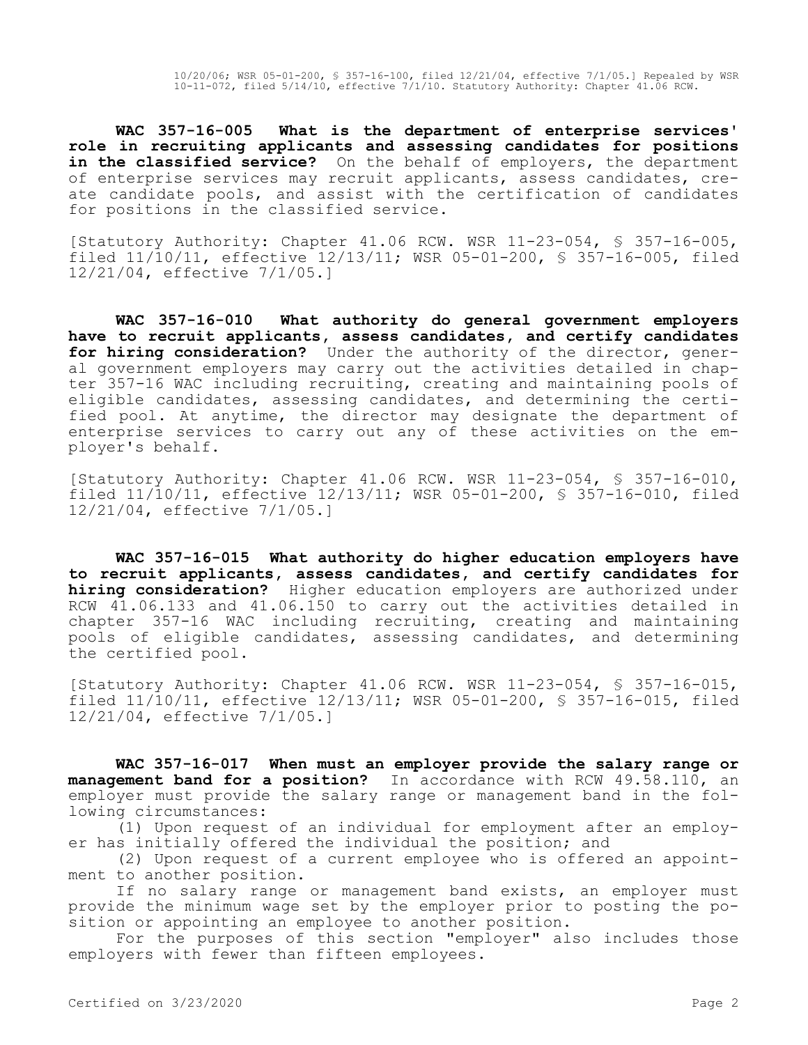**WAC 357-16-005 What is the department of enterprise services' role in recruiting applicants and assessing candidates for positions**  in the classified service? On the behalf of employers, the department of enterprise services may recruit applicants, assess candidates, create candidate pools, and assist with the certification of candidates for positions in the classified service.

[Statutory Authority: Chapter 41.06 RCW. WSR 11-23-054, § 357-16-005, filed 11/10/11, effective 12/13/11; WSR 05-01-200, § 357-16-005, filed 12/21/04, effective 7/1/05.]

**WAC 357-16-010 What authority do general government employers have to recruit applicants, assess candidates, and certify candidates for hiring consideration?** Under the authority of the director, general government employers may carry out the activities detailed in chapter 357-16 WAC including recruiting, creating and maintaining pools of eligible candidates, assessing candidates, and determining the certified pool. At anytime, the director may designate the department of enterprise services to carry out any of these activities on the employer's behalf.

[Statutory Authority: Chapter 41.06 RCW. WSR 11-23-054, § 357-16-010, filed 11/10/11, effective 12/13/11; WSR 05-01-200, § 357-16-010, filed 12/21/04, effective 7/1/05.]

**WAC 357-16-015 What authority do higher education employers have to recruit applicants, assess candidates, and certify candidates for hiring consideration?** Higher education employers are authorized under RCW 41.06.133 and 41.06.150 to carry out the activities detailed in chapter 357-16 WAC including recruiting, creating and maintaining pools of eligible candidates, assessing candidates, and determining the certified pool.

[Statutory Authority: Chapter 41.06 RCW. WSR 11-23-054, § 357-16-015, filed 11/10/11, effective 12/13/11; WSR 05-01-200, § 357-16-015, filed 12/21/04, effective 7/1/05.]

**WAC 357-16-017 When must an employer provide the salary range or management band for a position?** In accordance with RCW 49.58.110, an employer must provide the salary range or management band in the following circumstances:

(1) Upon request of an individual for employment after an employer has initially offered the individual the position; and

(2) Upon request of a current employee who is offered an appointment to another position.

If no salary range or management band exists, an employer must provide the minimum wage set by the employer prior to posting the position or appointing an employee to another position.

For the purposes of this section "employer" also includes those employers with fewer than fifteen employees.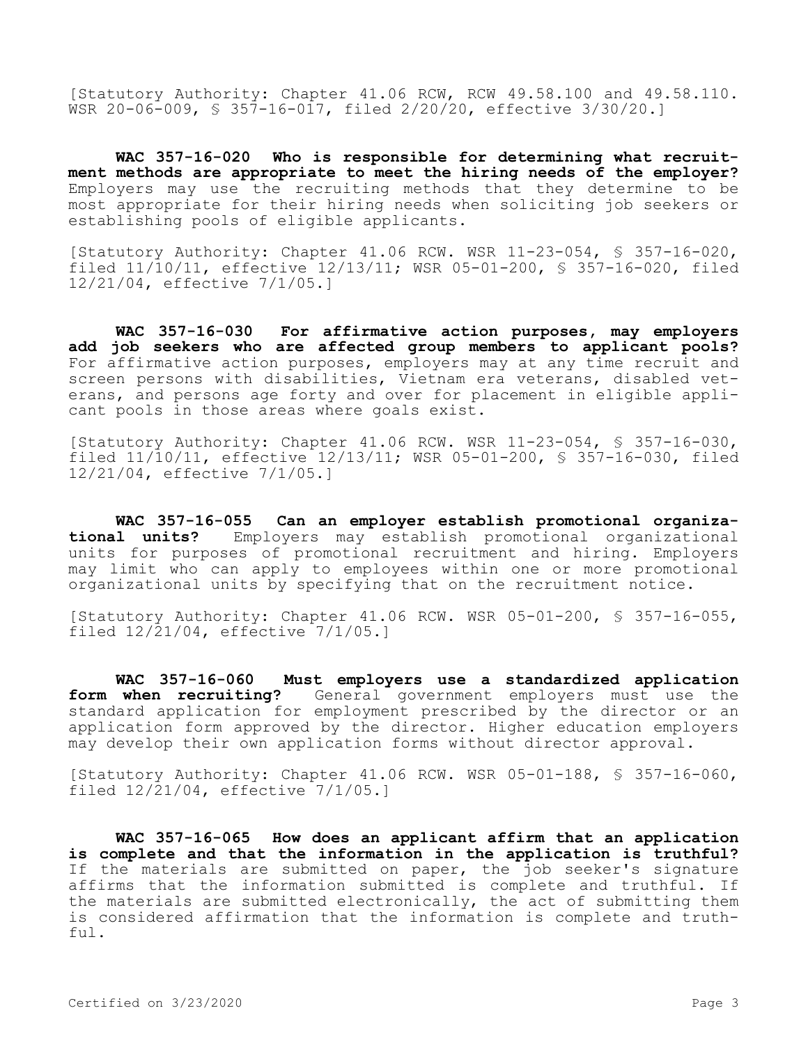[Statutory Authority: Chapter 41.06 RCW, RCW 49.58.100 and 49.58.110. WSR 20-06-009, § 357-16-017, filed 2/20/20, effective 3/30/20.]

**WAC 357-16-020 Who is responsible for determining what recruitment methods are appropriate to meet the hiring needs of the employer?**  Employers may use the recruiting methods that they determine to be most appropriate for their hiring needs when soliciting job seekers or establishing pools of eligible applicants.

[Statutory Authority: Chapter 41.06 RCW. WSR 11-23-054, § 357-16-020, filed 11/10/11, effective 12/13/11; WSR 05-01-200, § 357-16-020, filed 12/21/04, effective 7/1/05.]

**WAC 357-16-030 For affirmative action purposes, may employers add job seekers who are affected group members to applicant pools?**  For affirmative action purposes, employers may at any time recruit and screen persons with disabilities, Vietnam era veterans, disabled veterans, and persons age forty and over for placement in eligible applicant pools in those areas where goals exist.

[Statutory Authority: Chapter 41.06 RCW. WSR 11-23-054, § 357-16-030, filed 11/10/11, effective 12/13/11; WSR 05-01-200, § 357-16-030, filed 12/21/04, effective 7/1/05.]

**WAC 357-16-055 Can an employer establish promotional organizational units?** Employers may establish promotional organizational units for purposes of promotional recruitment and hiring. Employers may limit who can apply to employees within one or more promotional organizational units by specifying that on the recruitment notice.

[Statutory Authority: Chapter 41.06 RCW. WSR 05-01-200, § 357-16-055, filed 12/21/04, effective 7/1/05.]

**WAC 357-16-060 Must employers use a standardized application form when recruiting?** General government employers must use the standard application for employment prescribed by the director or an application form approved by the director. Higher education employers may develop their own application forms without director approval.

[Statutory Authority: Chapter 41.06 RCW. WSR 05-01-188, § 357-16-060, filed 12/21/04, effective 7/1/05.]

**WAC 357-16-065 How does an applicant affirm that an application is complete and that the information in the application is truthful?**  If the materials are submitted on paper, the job seeker's signature affirms that the information submitted is complete and truthful. If the materials are submitted electronically, the act of submitting them is considered affirmation that the information is complete and truth $f_{11}$ ].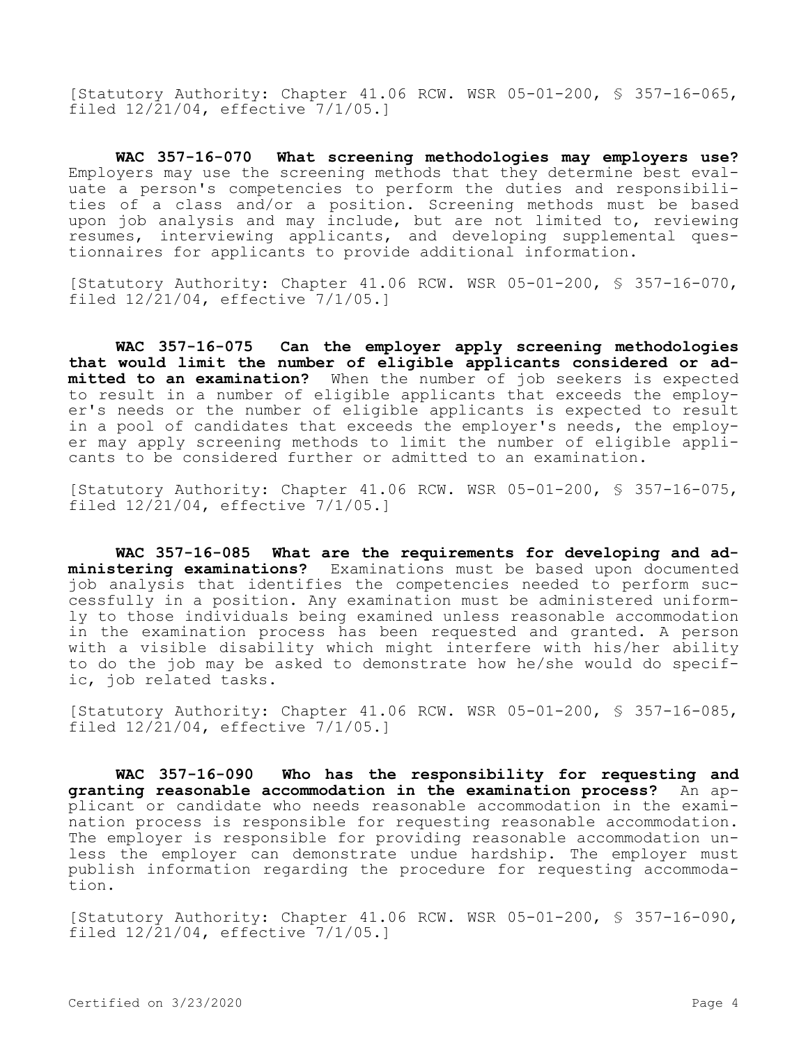[Statutory Authority: Chapter 41.06 RCW. WSR 05-01-200, § 357-16-065, filed 12/21/04, effective 7/1/05.]

**WAC 357-16-070 What screening methodologies may employers use?**  Employers may use the screening methods that they determine best evaluate a person's competencies to perform the duties and responsibilities of a class and/or a position. Screening methods must be based upon job analysis and may include, but are not limited to, reviewing resumes, interviewing applicants, and developing supplemental questionnaires for applicants to provide additional information.

[Statutory Authority: Chapter 41.06 RCW. WSR 05-01-200, § 357-16-070, filed 12/21/04, effective 7/1/05.]

**WAC 357-16-075 Can the employer apply screening methodologies that would limit the number of eligible applicants considered or admitted to an examination?** When the number of job seekers is expected to result in a number of eligible applicants that exceeds the employer's needs or the number of eligible applicants is expected to result in a pool of candidates that exceeds the employer's needs, the employer may apply screening methods to limit the number of eligible applicants to be considered further or admitted to an examination.

[Statutory Authority: Chapter 41.06 RCW. WSR 05-01-200, § 357-16-075, filed 12/21/04, effective 7/1/05.]

**WAC 357-16-085 What are the requirements for developing and administering examinations?** Examinations must be based upon documented job analysis that identifies the competencies needed to perform successfully in a position. Any examination must be administered uniformly to those individuals being examined unless reasonable accommodation in the examination process has been requested and granted. A person with a visible disability which might interfere with his/her ability to do the job may be asked to demonstrate how he/she would do specific, job related tasks.

[Statutory Authority: Chapter 41.06 RCW. WSR 05-01-200, § 357-16-085, filed 12/21/04, effective 7/1/05.]

**WAC 357-16-090 Who has the responsibility for requesting and granting reasonable accommodation in the examination process?** An applicant or candidate who needs reasonable accommodation in the examination process is responsible for requesting reasonable accommodation. The employer is responsible for providing reasonable accommodation unless the employer can demonstrate undue hardship. The employer must publish information regarding the procedure for requesting accommodation.

[Statutory Authority: Chapter 41.06 RCW. WSR 05-01-200, § 357-16-090, filed 12/21/04, effective 7/1/05.]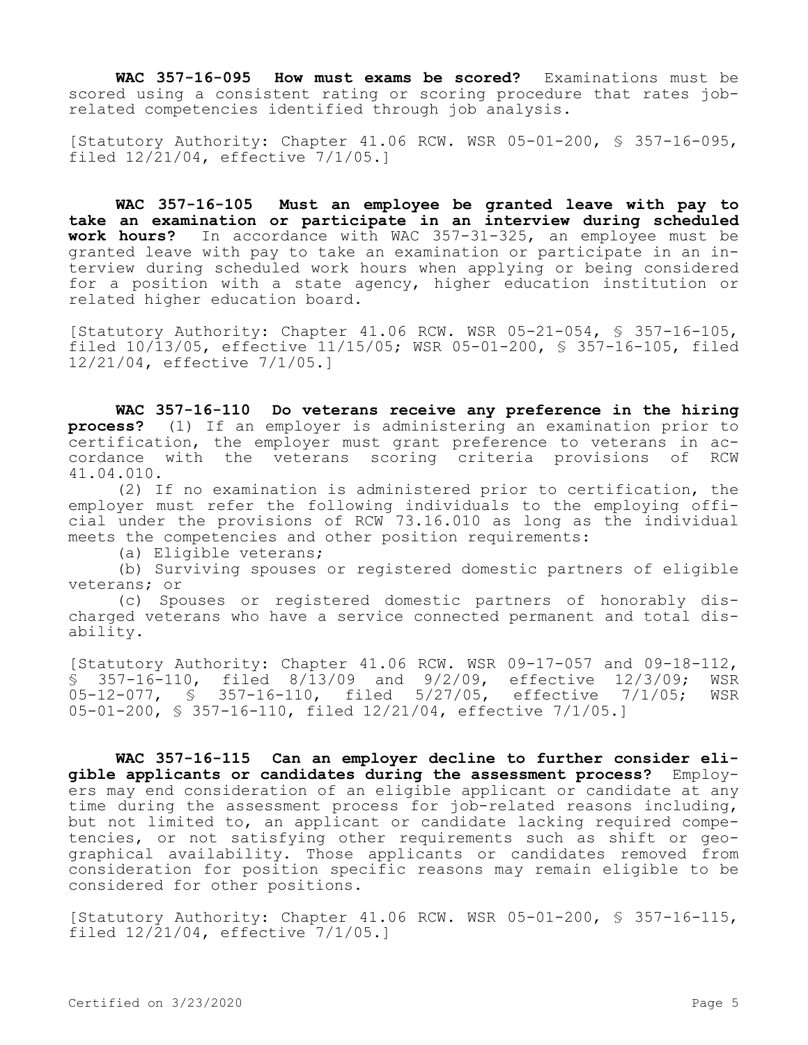**WAC 357-16-095 How must exams be scored?** Examinations must be scored using a consistent rating or scoring procedure that rates jobrelated competencies identified through job analysis.

[Statutory Authority: Chapter 41.06 RCW. WSR 05-01-200, § 357-16-095, filed 12/21/04, effective 7/1/05.]

**WAC 357-16-105 Must an employee be granted leave with pay to take an examination or participate in an interview during scheduled work hours?** In accordance with WAC 357-31-325, an employee must be granted leave with pay to take an examination or participate in an interview during scheduled work hours when applying or being considered for a position with a state agency, higher education institution or related higher education board.

[Statutory Authority: Chapter 41.06 RCW. WSR 05-21-054, § 357-16-105, filed 10/13/05, effective 11/15/05; WSR 05-01-200, § 357-16-105, filed 12/21/04, effective 7/1/05.]

**WAC 357-16-110 Do veterans receive any preference in the hiring process?** (1) If an employer is administering an examination prior to certification, the employer must grant preference to veterans in ac-<br>cordance with the veterans scoring criteria provisions of RCW cordance with the veterans scoring criteria provisions of 41.04.010.

(2) If no examination is administered prior to certification, the employer must refer the following individuals to the employing official under the provisions of RCW 73.16.010 as long as the individual meets the competencies and other position requirements:

(a) Eligible veterans;

(b) Surviving spouses or registered domestic partners of eligible veterans; or

(c) Spouses or registered domestic partners of honorably discharged veterans who have a service connected permanent and total disability.

[Statutory Authority: Chapter 41.06 RCW. WSR 09-17-057 and 09-18-112, § 357-16-110, filed 8/13/09 and 9/2/09, effective 12/3/09; WSR 05-12-077, § 357-16-110, filed 5/27/05, effective 7/1/05; 05-01-200, § 357-16-110, filed 12/21/04, effective 7/1/05.]

**WAC 357-16-115 Can an employer decline to further consider eligible applicants or candidates during the assessment process?** Employers may end consideration of an eligible applicant or candidate at any time during the assessment process for job-related reasons including, but not limited to, an applicant or candidate lacking required competencies, or not satisfying other requirements such as shift or geographical availability. Those applicants or candidates removed from consideration for position specific reasons may remain eligible to be considered for other positions.

[Statutory Authority: Chapter 41.06 RCW. WSR 05-01-200, § 357-16-115, filed 12/21/04, effective 7/1/05.]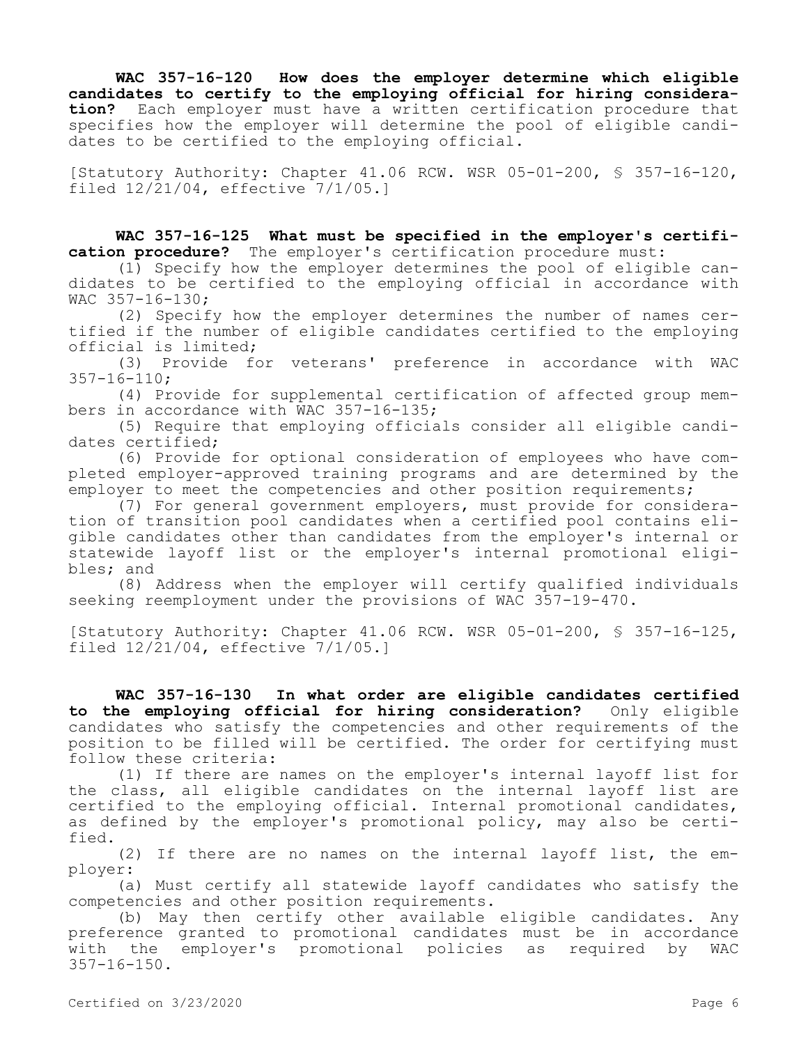**WAC 357-16-120 How does the employer determine which eligible candidates to certify to the employing official for hiring consideration?** Each employer must have a written certification procedure that specifies how the employer will determine the pool of eligible candidates to be certified to the employing official.

[Statutory Authority: Chapter 41.06 RCW. WSR 05-01-200, § 357-16-120, filed 12/21/04, effective 7/1/05.]

**WAC 357-16-125 What must be specified in the employer's certification procedure?** The employer's certification procedure must:

(1) Specify how the employer determines the pool of eligible candidates to be certified to the employing official in accordance with WAC 357-16-130;

(2) Specify how the employer determines the number of names certified if the number of eligible candidates certified to the employing official is limited;<br>(3) Provide fo

Provide for veterans' preference in accordance with WAC 357-16-110;

(4) Provide for supplemental certification of affected group members in accordance with WAC 357-16-135;

(5) Require that employing officials consider all eligible candidates certified;

(6) Provide for optional consideration of employees who have completed employer-approved training programs and are determined by the employer to meet the competencies and other position requirements;

(7) For general government employers, must provide for consideration of transition pool candidates when a certified pool contains eligible candidates other than candidates from the employer's internal or statewide layoff list or the employer's internal promotional eligibles; and

(8) Address when the employer will certify qualified individuals seeking reemployment under the provisions of WAC 357-19-470.

[Statutory Authority: Chapter 41.06 RCW. WSR 05-01-200, § 357-16-125, filed 12/21/04, effective 7/1/05.]

**WAC 357-16-130 In what order are eligible candidates certified to the employing official for hiring consideration?** Only eligible candidates who satisfy the competencies and other requirements of the position to be filled will be certified. The order for certifying must follow these criteria:

(1) If there are names on the employer's internal layoff list for the class, all eligible candidates on the internal layoff list are certified to the employing official. Internal promotional candidates, as defined by the employer's promotional policy, may also be certified.

(2) If there are no names on the internal layoff list, the employer:

(a) Must certify all statewide layoff candidates who satisfy the competencies and other position requirements.

(b) May then certify other available eligible candidates. Any preference granted to promotional candidates must be in accordance with the employer's promotional policies as required by WAC 357-16-150.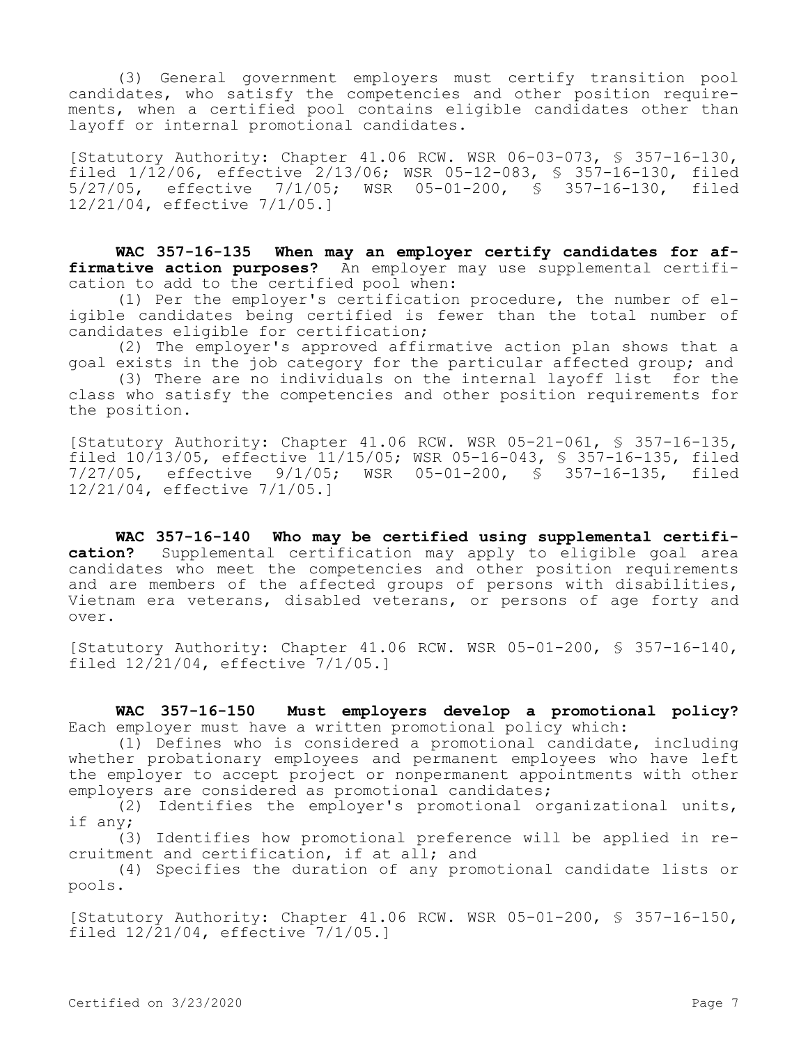(3) General government employers must certify transition pool candidates, who satisfy the competencies and other position requirements, when a certified pool contains eligible candidates other than layoff or internal promotional candidates.

[Statutory Authority: Chapter 41.06 RCW. WSR 06-03-073, § 357-16-130, filed 1/12/06, effective 2/13/06; WSR 05-12-083, § 357-16-130, filed 5/27/05, effective 7/1/05; WSR 05-01-200, § 357-16-130, filed 12/21/04, effective 7/1/05.]

**WAC 357-16-135 When may an employer certify candidates for affirmative action purposes?** An employer may use supplemental certification to add to the certified pool when:

(1) Per the employer's certification procedure, the number of eligible candidates being certified is fewer than the total number of candidates eligible for certification;

(2) The employer's approved affirmative action plan shows that a goal exists in the job category for the particular affected group; and

(3) There are no individuals on the internal layoff list for the class who satisfy the competencies and other position requirements for the position.

[Statutory Authority: Chapter 41.06 RCW. WSR 05-21-061, § 357-16-135, filed 10/13/05, effective 11/15/05; WSR 05-16-043, § 357-16-135, filed 7/27/05, effective 9/1/05; WSR 05-01-200, § 357-16-135, filed 12/21/04, effective 7/1/05.]

**WAC 357-16-140 Who may be certified using supplemental certification?** Supplemental certification may apply to eligible goal area candidates who meet the competencies and other position requirements and are members of the affected groups of persons with disabilities, Vietnam era veterans, disabled veterans, or persons of age forty and over.

[Statutory Authority: Chapter 41.06 RCW. WSR 05-01-200, § 357-16-140, filed  $12/\overline{21}/04$ , effective  $7/1/05.$ 

**WAC 357-16-150 Must employers develop a promotional policy?**  Each employer must have a written promotional policy which:

(1) Defines who is considered a promotional candidate, including whether probationary employees and permanent employees who have left the employer to accept project or nonpermanent appointments with other employers are considered as promotional candidates;

 $(2)$  Identifies the employer's promotional organizational units, if any;

(3) Identifies how promotional preference will be applied in recruitment and certification, if at all; and

(4) Specifies the duration of any promotional candidate lists or pools.

[Statutory Authority: Chapter 41.06 RCW. WSR 05-01-200, § 357-16-150, filed 12/21/04, effective 7/1/05.]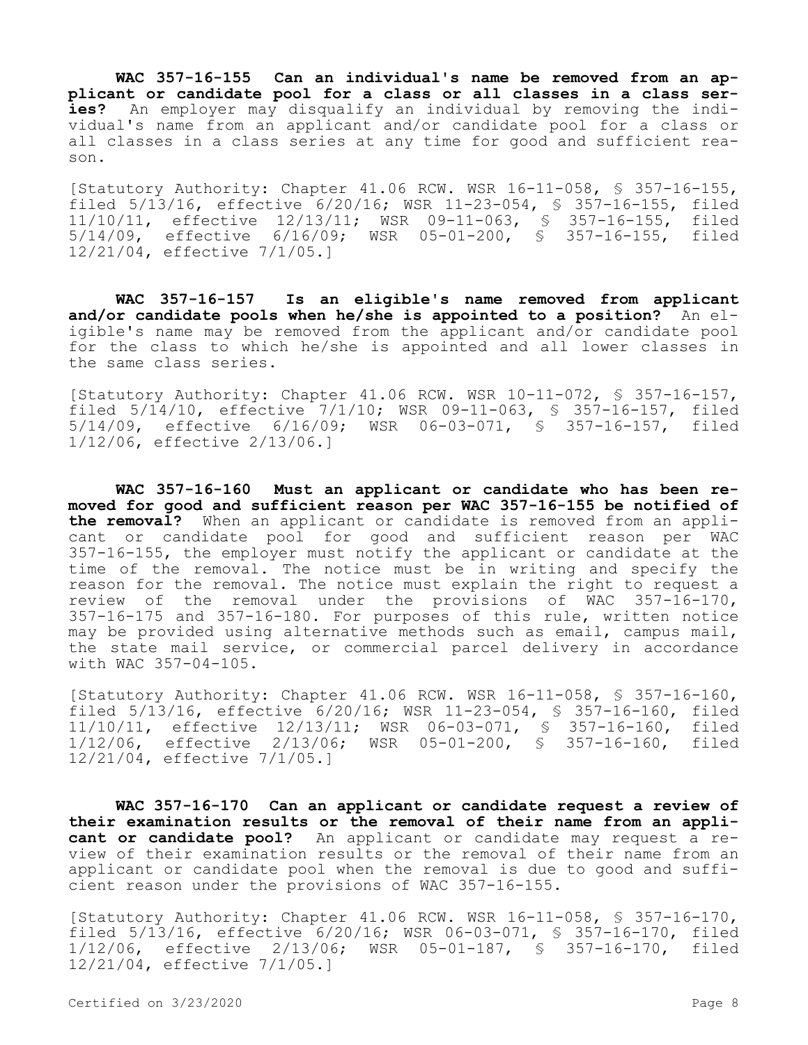**WAC 357-16-155 Can an individual's name be removed from an applicant or candidate pool for a class or all classes in a class series?** An employer may disqualify an individual by removing the individual's name from an applicant and/or candidate pool for a class or all classes in a class series at any time for good and sufficient reason.

[Statutory Authority: Chapter 41.06 RCW. WSR 16-11-058, § 357-16-155, filed 5/13/16, effective 6/20/16; WSR 11-23-054, § 357-16-155, filed 11/10/11, effective 12/13/11; WSR 09-11-063, § 357-16-155, filed 5/14/09, effective 6/16/09; WSR 05-01-200, § 357-16-155, filed 12/21/04, effective 7/1/05.]

**WAC 357-16-157 Is an eligible's name removed from applicant**  and/or candidate pools when he/she is appointed to a position? An eligible's name may be removed from the applicant and/or candidate pool for the class to which he/she is appointed and all lower classes in the same class series.

[Statutory Authority: Chapter 41.06 RCW. WSR 10-11-072, § 357-16-157, filed 5/14/10, effective 7/1/10; WSR 09-11-063, § 357-16-157, filed 5/14/09, effective 6/16/09; WSR 06-03-071, § 357-16-157, filed 1/12/06, effective 2/13/06.]

**WAC 357-16-160 Must an applicant or candidate who has been removed for good and sufficient reason per WAC 357-16-155 be notified of the removal?** When an applicant or candidate is removed from an applicant or candidate pool for good and sufficient reason per WAC 357-16-155, the employer must notify the applicant or candidate at the time of the removal. The notice must be in writing and specify the reason for the removal. The notice must explain the right to request a review of the removal under the provisions of WAC 357-16-170, 357-16-175 and 357-16-180. For purposes of this rule, written notice may be provided using alternative methods such as email, campus mail, the state mail service, or commercial parcel delivery in accordance with WAC 357-04-105.

[Statutory Authority: Chapter 41.06 RCW. WSR 16-11-058, § 357-16-160, filed 5/13/16, effective 6/20/16; WSR 11-23-054, § 357-16-160, filed 11/10/11, effective 12/13/11; WSR 06-03-071, § 357-16-160, filed 1/12/06, effective 2/13/06; WSR 05-01-200, § 357-16-160, filed 12/21/04, effective 7/1/05.]

**WAC 357-16-170 Can an applicant or candidate request a review of their examination results or the removal of their name from an applicant or candidate pool?** An applicant or candidate may request a review of their examination results or the removal of their name from an applicant or candidate pool when the removal is due to good and sufficient reason under the provisions of WAC 357-16-155.

[Statutory Authority: Chapter 41.06 RCW. WSR 16-11-058, § 357-16-170, filed 5/13/16, effective 6/20/16; WSR 06-03-071, § 357-16-170, filed 1/12/06, effective 2/13/06; WSR 05-01-187, § 357-16-170, filed 12/21/04, effective 7/1/05.]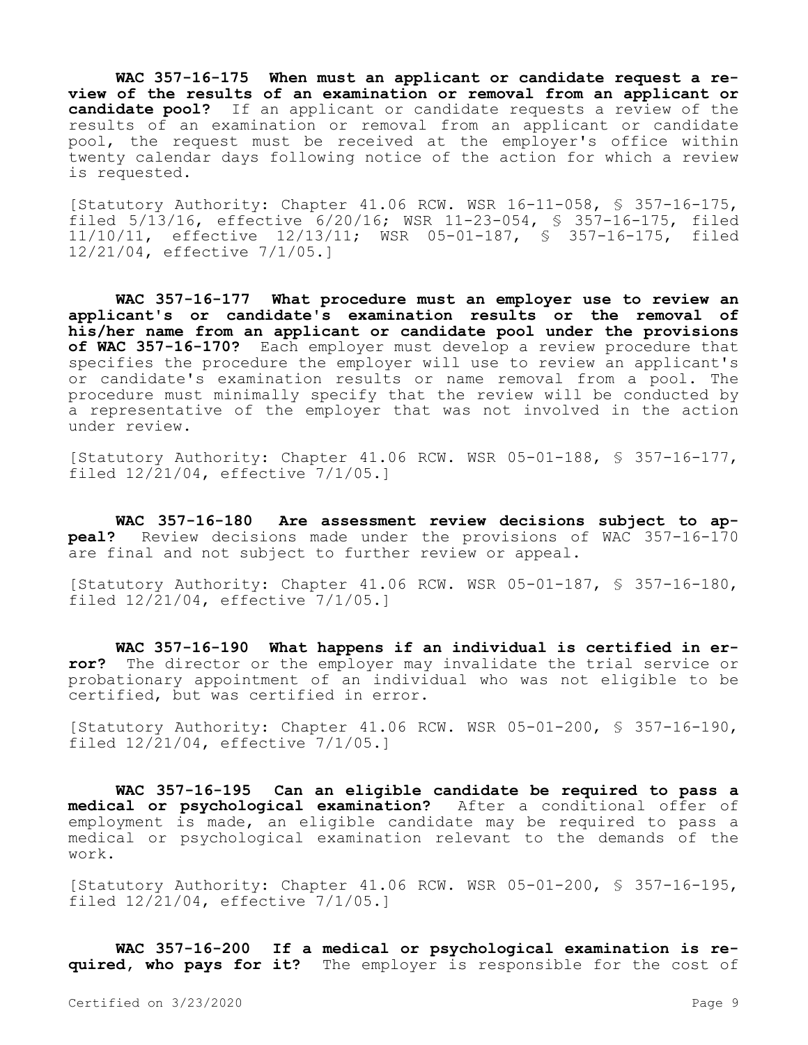**WAC 357-16-175 When must an applicant or candidate request a review of the results of an examination or removal from an applicant or candidate pool?** If an applicant or candidate requests a review of the results of an examination or removal from an applicant or candidate pool, the request must be received at the employer's office within twenty calendar days following notice of the action for which a review is requested.

[Statutory Authority: Chapter 41.06 RCW. WSR 16-11-058, § 357-16-175, filed 5/13/16, effective 6/20/16; WSR 11-23-054, § 357-16-175, filed 11/10/11, effective 12/13/11; WSR 05-01-187, § 357-16-175, filed 12/21/04, effective 7/1/05.]

**WAC 357-16-177 What procedure must an employer use to review an applicant's or candidate's examination results or the removal of his/her name from an applicant or candidate pool under the provisions of WAC 357-16-170?** Each employer must develop a review procedure that specifies the procedure the employer will use to review an applicant's or candidate's examination results or name removal from a pool. The procedure must minimally specify that the review will be conducted by a representative of the employer that was not involved in the action under review.

[Statutory Authority: Chapter 41.06 RCW. WSR 05-01-188, § 357-16-177, filed 12/21/04, effective 7/1/05.]

**WAC 357-16-180 Are assessment review decisions subject to appeal?** Review decisions made under the provisions of WAC 357-16-170 are final and not subject to further review or appeal.

[Statutory Authority: Chapter 41.06 RCW. WSR 05-01-187, § 357-16-180, filed 12/21/04, effective 7/1/05.]

**WAC 357-16-190 What happens if an individual is certified in error?** The director or the employer may invalidate the trial service or probationary appointment of an individual who was not eligible to be certified, but was certified in error.

[Statutory Authority: Chapter 41.06 RCW. WSR 05-01-200, § 357-16-190, filed 12/21/04, effective 7/1/05.]

**WAC 357-16-195 Can an eligible candidate be required to pass a medical or psychological examination?** After a conditional offer of employment is made, an eligible candidate may be required to pass a medical or psychological examination relevant to the demands of the work.

[Statutory Authority: Chapter 41.06 RCW. WSR 05-01-200, § 357-16-195, filed  $12/\overline{21}/04$ , effective  $7/1/05.$ 

**WAC 357-16-200 If a medical or psychological examination is required, who pays for it?** The employer is responsible for the cost of